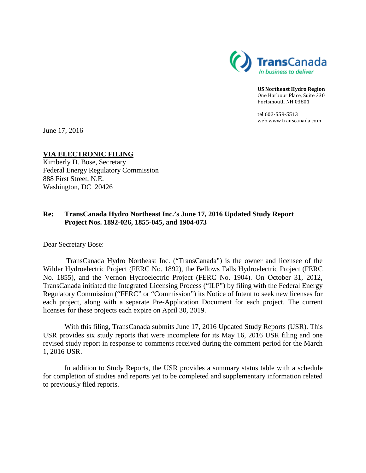

**US Northeast Hydro Region** One Harbour Place, Suite 330 Portsmouth NH 03801

tel 603-559-5513 web www.transcanada.com

June 17, 2016

## **VIA ELECTRONIC FILING**

Kimberly D. Bose, Secretary Federal Energy Regulatory Commission 888 First Street, N.E. Washington, DC 20426

## **Re: TransCanada Hydro Northeast Inc.'s June 17, 2016 Updated Study Report Project Nos. 1892-026, 1855-045, and 1904-073**

Dear Secretary Bose:

TransCanada Hydro Northeast Inc. ("TransCanada") is the owner and licensee of the Wilder Hydroelectric Project (FERC No. 1892), the Bellows Falls Hydroelectric Project (FERC No. 1855), and the Vernon Hydroelectric Project (FERC No. 1904). On October 31, 2012, TransCanada initiated the Integrated Licensing Process ("ILP") by filing with the Federal Energy Regulatory Commission ("FERC" or "Commission") its Notice of Intent to seek new licenses for each project, along with a separate Pre-Application Document for each project. The current licenses for these projects each expire on April 30, 2019.

With this filing, TransCanada submits June 17, 2016 Updated Study Reports (USR). This USR provides six study reports that were incomplete for its May 16, 2016 USR filing and one revised study report in response to comments received during the comment period for the March 1, 2016 USR.

In addition to Study Reports, the USR provides a summary status table with a schedule for completion of studies and reports yet to be completed and supplementary information related to previously filed reports.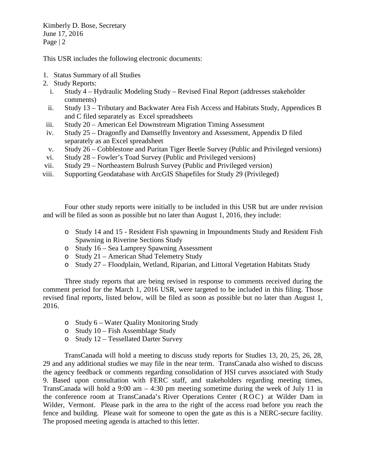Kimberly D. Bose, Secretary June 17, 2016 Page  $|2|$ 

This USR includes the following electronic documents:

- 1. Status Summary of all Studies
- 2. Study Reports:
	- i. Study 4 Hydraulic Modeling Study Revised Final Report (addresses stakeholder comments)
	- ii. Study 13 Tributary and Backwater Area Fish Access and Habitats Study, Appendices B and C filed separately as Excel spreadsheets
- iii. Study 20 American Eel Downstream Migration Timing Assessment
- iv. Study 25 Dragonfly and Damselfly Inventory and Assessment, Appendix D filed separately as an Excel spreadsheet
- v. Study 26 Cobblestone and Puritan Tiger Beetle Survey (Public and Privileged versions)
- vi. Study 28 Fowler's Toad Survey (Public and Privileged versions)
- vii. Study 29 Northeastern Bulrush Survey (Public and Privileged version)
- viii. Supporting Geodatabase with ArcGIS Shapefiles for Study 29 (Privileged)

Four other study reports were initially to be included in this USR but are under revision and will be filed as soon as possible but no later than August 1, 2016, they include:

- o Study 14 and 15 Resident Fish spawning in Impoundments Study and Resident Fish Spawning in Riverine Sections Study
- o Study 16 Sea Lamprey Spawning Assessment
- o Study 21 American Shad Telemetry Study
- o Study 27 Floodplain, Wetland, Riparian, and Littoral Vegetation Habitats Study

Three study reports that are being revised in response to comments received during the comment period for the March 1, 2016 USR, were targeted to be included in this filing. Those revised final reports, listed below, will be filed as soon as possible but no later than August 1, 2016.

- o Study 6 Water Quality Monitoring Study
- o Study 10 Fish Assemblage Study
- o Study 12 Tessellated Darter Survey

TransCanada will hold a meeting to discuss study reports for Studies 13, 20, 25, 26, 28, 29 and any additional studies we may file in the near term. TransCanada also wished to discuss the agency feedback or comments regarding consolidation of HSI curves associated with Study 9. Based upon consultation with FERC staff, and stakeholders regarding meeting times, TransCanada will hold a 9:00 am  $-$  4:30 pm meeting sometime during the week of July 11 in the conference room at TransCanada's River Operations Center (ROC) at Wilder Dam in Wilder, Vermont. Please park in the area to the right of the access road before you reach the fence and building. Please wait for someone to open the gate as this is a NERC-secure facility. The proposed meeting agenda is attached to this letter.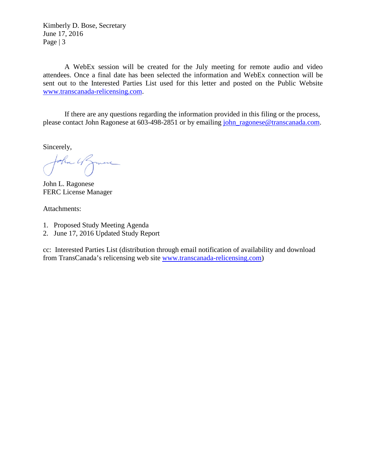Kimberly D. Bose, Secretary June 17, 2016 Page  $|3$ 

A WebEx session will be created for the July meeting for remote audio and video attendees. Once a final date has been selected the information and WebEx connection will be sent out to the Interested Parties List used for this letter and posted on the Public Website [www.transcanada-relicensing.com.](http://www.transcanada-relicensing.com/)

If there are any questions regarding the information provided in this filing or the process, please contact John Ragonese at 603-498-2851 or by emailing [john\\_ragonese@transcanada.com.](mailto:john_ragonese@transcanada.com)

Sincerely,

John 4 Zmine

John L. Ragonese FERC License Manager

Attachments:

- 1. Proposed Study Meeting Agenda
- 2. June 17, 2016 Updated Study Report

cc: Interested Parties List (distribution through email notification of availability and download from TransCanada's relicensing web site [www.transcanada-relicensing.com\)](http://www.transcanada-relicensing.com/)